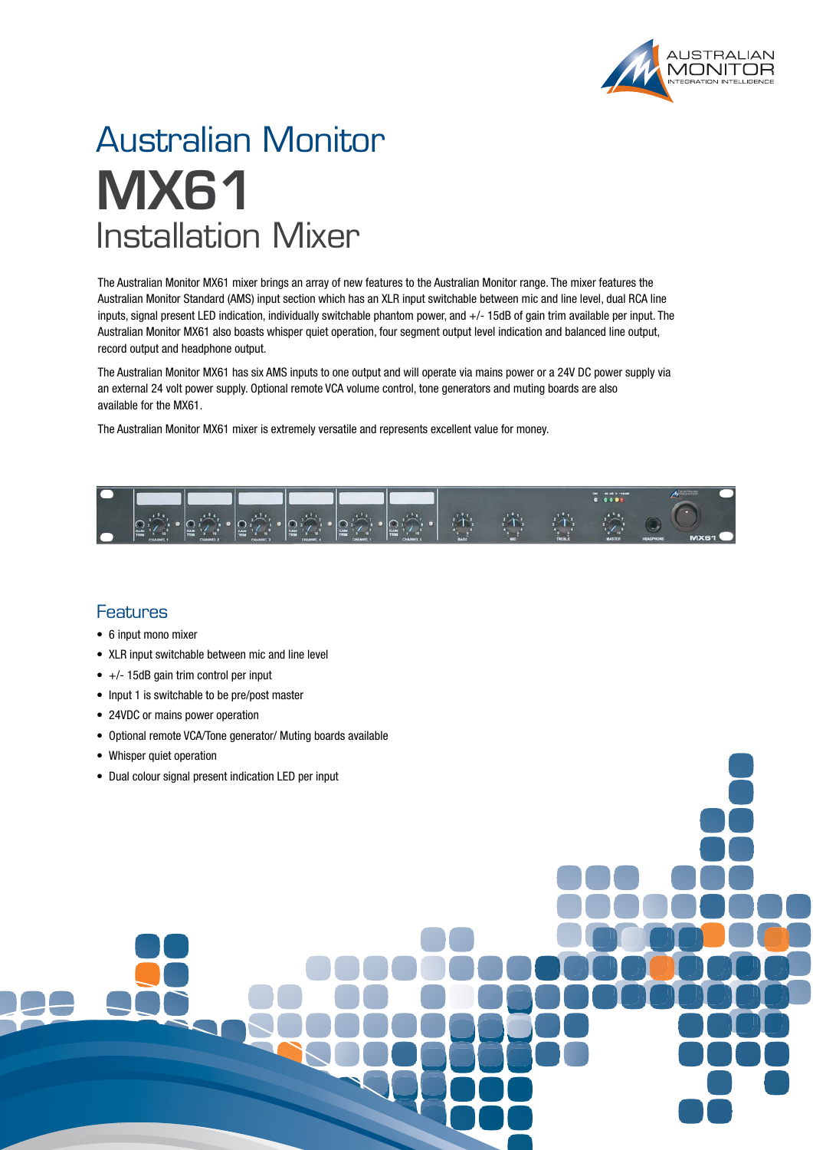

## Australian Monitor **MX61** Installation Mixer

The Australian Monitor MX61 mixer brings an array of new features to the Australian Monitor range. The mixer features the Australian Monitor Standard (AMS) input section which has an XLR input switchable between mic and line level, dual RCA line inputs, signal present LED indication, individually switchable phantom power, and +/- 15dB of gain trim available per input. The Australian Monitor MX61 also boasts whisper quiet operation, four segment output level indication and balanced line output, record output and headphone output.

The Australian Monitor MX61 has six AMS inputs to one output and will operate via mains power or a 24V DC power supply via an external 24 volt power supply. Optional remote VCA volume control, tone generators and muting boards are also available for the MX61.

The Australian Monitor MX61 mixer is extremely versatile and represents excellent value for money.



### **Features**

- 6 input mono mixer
- XLR input switchable between mic and line level
- $\bullet$  +/- 15dB gain trim control per input
- Input 1 is switchable to be pre/post master
- 24VDC or mains power operation
- Optional remote VCA/Tone generator/ Muting boards available
- Whisper quiet operation
- Dual colour signal present indication LED per input